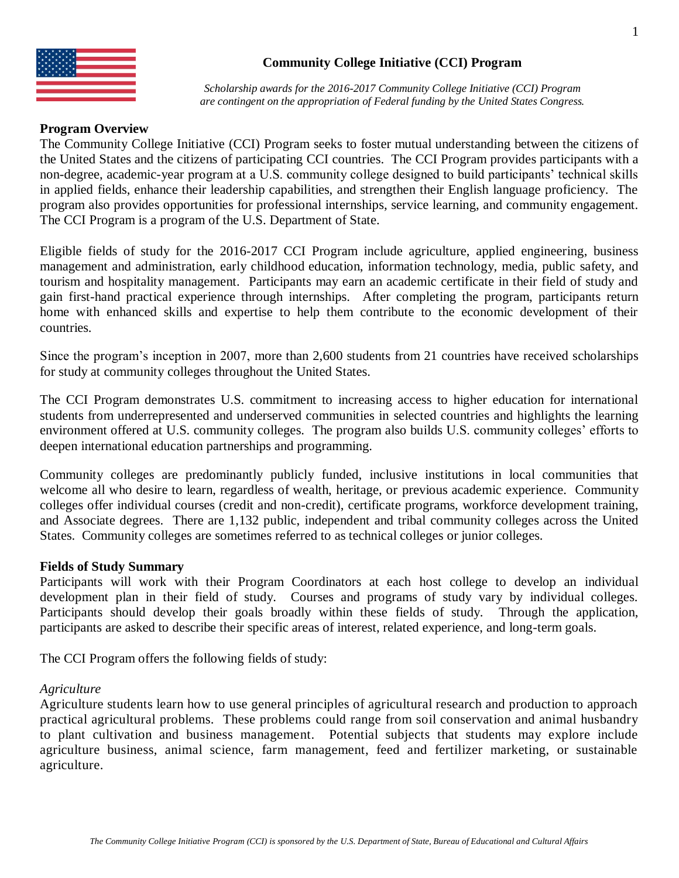

# **Community College Initiative (CCI) Program**

*Scholarship awards for the 2016-2017 Community College Initiative (CCI) Program are contingent on the appropriation of Federal funding by the United States Congress.*

# **Program Overview**

The Community College Initiative (CCI) Program seeks to foster mutual understanding between the citizens of the United States and the citizens of participating CCI countries. The CCI Program provides participants with a non-degree, academic-year program at a U.S. community college designed to build participants' technical skills in applied fields, enhance their leadership capabilities, and strengthen their English language proficiency. The program also provides opportunities for professional internships, service learning, and community engagement. The CCI Program is a program of the U.S. Department of State.

Eligible fields of study for the 2016-2017 CCI Program include agriculture, applied engineering, business management and administration, early childhood education, information technology, media, public safety, and tourism and hospitality management. Participants may earn an academic certificate in their field of study and gain first-hand practical experience through internships. After completing the program, participants return home with enhanced skills and expertise to help them contribute to the economic development of their countries.

Since the program's inception in 2007, more than 2,600 students from 21 countries have received scholarships for study at community colleges throughout the United States.

The CCI Program demonstrates U.S. commitment to increasing access to higher education for international students from underrepresented and underserved communities in selected countries and highlights the learning environment offered at U.S. community colleges. The program also builds U.S. community colleges' efforts to deepen international education partnerships and programming.

Community colleges are predominantly publicly funded, inclusive institutions in local communities that welcome all who desire to learn, regardless of wealth, heritage, or previous academic experience. Community colleges offer individual courses (credit and non-credit), certificate programs, workforce development training, and Associate degrees. There are 1,132 public, independent and tribal community colleges across the United States. Community colleges are sometimes referred to as technical colleges or junior colleges.

#### **Fields of Study Summary**

Participants will work with their Program Coordinators at each host college to develop an individual development plan in their field of study. Courses and programs of study vary by individual colleges. Participants should develop their goals broadly within these fields of study. Through the application, participants are asked to describe their specific areas of interest, related experience, and long-term goals.

The CCI Program offers the following fields of study:

#### *Agriculture*

Agriculture students learn how to use general principles of agricultural research and production to approach practical agricultural problems. These problems could range from soil conservation and animal husbandry to plant cultivation and business management. Potential subjects that students may explore include agriculture business, animal science, farm management, feed and fertilizer marketing, or sustainable agriculture.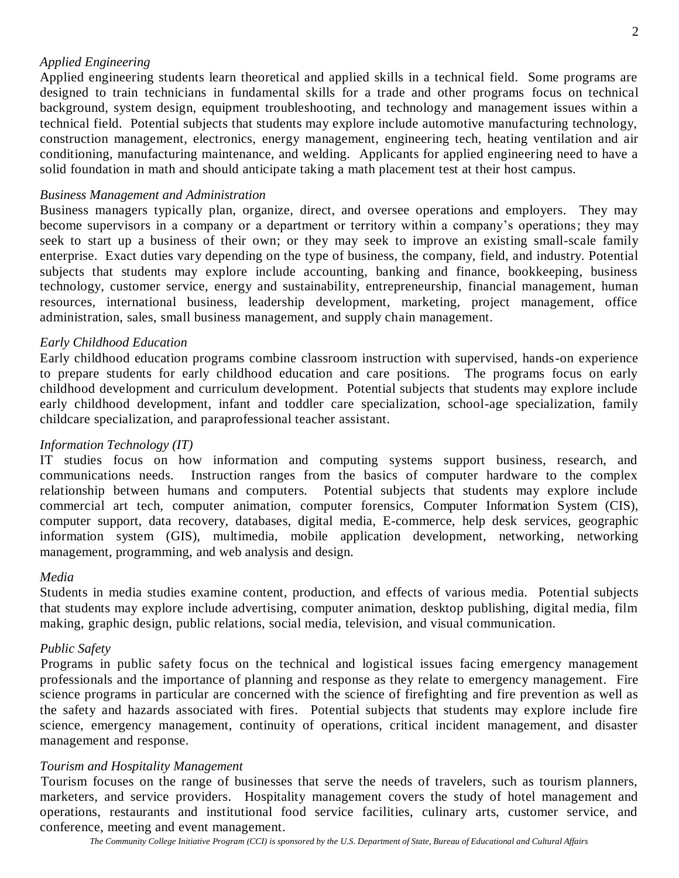# *Applied Engineering*

Applied engineering students learn theoretical and applied skills in a technical field. Some programs are designed to train technicians in fundamental skills for a trade and other programs focus on technical background, system design, equipment troubleshooting, and technology and management issues within a technical field. Potential subjects that students may explore include automotive manufacturing technology, construction management, electronics, energy management, engineering tech, heating ventilation and air conditioning, manufacturing maintenance, and welding. Applicants for applied engineering need to have a solid foundation in math and should anticipate taking a math placement test at their host campus.

## *Business Management and Administration*

Business managers typically plan, organize, direct, and oversee operations and employers. They may become supervisors in a company or a department or territory within a company's operations; they may seek to start up a business of their own; or they may seek to improve an existing small-scale family enterprise. Exact duties vary depending on the type of business, the company, field, and industry. Potential subjects that students may explore include accounting, banking and finance, bookkeeping, business technology, customer service, energy and sustainability, entrepreneurship, financial management, human resources, international business, leadership development, marketing, project management, office administration, sales, small business management, and supply chain management.

# *Early Childhood Education*

Early childhood education programs combine classroom instruction with supervised, hands-on experience to prepare students for early childhood education and care positions. The programs focus on early childhood development and curriculum development. Potential subjects that students may explore include early childhood development, infant and toddler care specialization, school-age specialization, family childcare specialization, and paraprofessional teacher assistant.

## *Information Technology (IT)*

IT studies focus on how information and computing systems support business, research, and communications needs. Instruction ranges from the basics of computer hardware to the complex relationship between humans and computers. Potential subjects that students may explore include commercial art tech, computer animation, computer forensics, Computer Information System (CIS), computer support, data recovery, databases, digital media, E-commerce, help desk services, geographic information system (GIS), multimedia, mobile application development, networking, networking management, programming, and web analysis and design.

#### *Media*

Students in media studies examine content, production, and effects of various media. Potential subjects that students may explore include advertising, computer animation, desktop publishing, digital media, film making, graphic design, public relations, social media, television, and visual communication.

#### *Public Safety*

Programs in public safety focus on the technical and logistical issues facing emergency management professionals and the importance of planning and response as they relate to emergency management. Fire science programs in particular are concerned with the science of firefighting and fire prevention as well as the safety and hazards associated with fires. Potential subjects that students may explore include fire science, emergency management, continuity of operations, critical incident management, and disaster management and response.

#### *Tourism and Hospitality Management*

Tourism focuses on the range of businesses that serve the needs of travelers, such as tourism planners, marketers, and service providers. Hospitality management covers the study of hotel management and operations, restaurants and institutional food service facilities, culinary arts, customer service, and conference, meeting and event management.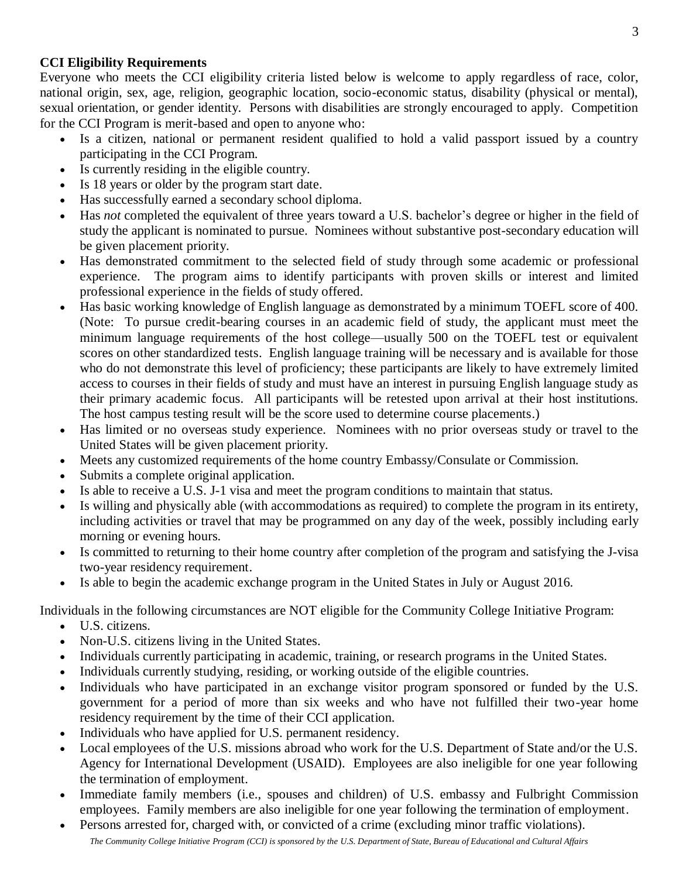# **CCI Eligibility Requirements**

Everyone who meets the CCI eligibility criteria listed below is welcome to apply regardless of race, color, national origin, sex, age, religion, geographic location, socio-economic status, disability (physical or mental), sexual orientation, or gender identity. Persons with disabilities are strongly encouraged to apply. Competition for the CCI Program is merit-based and open to anyone who:

- Is a citizen, national or permanent resident qualified to hold a valid passport issued by a country participating in the CCI Program.
- Is currently residing in the eligible country.
- Is 18 years or older by the program start date.
- Has successfully earned a secondary school diploma.
- Has *not* completed the equivalent of three years toward a U.S. bachelor's degree or higher in the field of study the applicant is nominated to pursue. Nominees without substantive post-secondary education will be given placement priority.
- Has demonstrated commitment to the selected field of study through some academic or professional experience. The program aims to identify participants with proven skills or interest and limited professional experience in the fields of study offered.
- Has basic working knowledge of English language as demonstrated by a minimum TOEFL score of 400. (Note: To pursue credit-bearing courses in an academic field of study, the applicant must meet the minimum language requirements of the host college—usually 500 on the TOEFL test or equivalent scores on other standardized tests. English language training will be necessary and is available for those who do not demonstrate this level of proficiency; these participants are likely to have extremely limited access to courses in their fields of study and must have an interest in pursuing English language study as their primary academic focus. All participants will be retested upon arrival at their host institutions. The host campus testing result will be the score used to determine course placements.)
- Has limited or no overseas study experience. Nominees with no prior overseas study or travel to the United States will be given placement priority.
- Meets any customized requirements of the home country Embassy/Consulate or Commission.
- Submits a complete original application.
- Is able to receive a U.S. J-1 visa and meet the program conditions to maintain that status.
- Is willing and physically able (with accommodations as required) to complete the program in its entirety, including activities or travel that may be programmed on any day of the week, possibly including early morning or evening hours.
- Is committed to returning to their home country after completion of the program and satisfying the J-visa two-year residency requirement.
- Is able to begin the academic exchange program in the United States in July or August 2016.

Individuals in the following circumstances are NOT eligible for the Community College Initiative Program:

- U.S. citizens.
- Non-U.S. citizens living in the United States.
- Individuals currently participating in academic, training, or research programs in the United States.
- Individuals currently studying, residing, or working outside of the eligible countries.
- Individuals who have participated in an exchange visitor program sponsored or funded by the U.S. government for a period of more than six weeks and who have not fulfilled their two-year home residency requirement by the time of their CCI application.
- Individuals who have applied for U.S. permanent residency.
- Local employees of the U.S. missions abroad who work for the U.S. Department of State and/or the U.S. Agency for International Development (USAID). Employees are also ineligible for one year following the termination of employment.
- Immediate family members (i.e., spouses and children) of U.S. embassy and Fulbright Commission employees. Family members are also ineligible for one year following the termination of employment.
- *The Community College Initiative Program (CCI) is sponsored by the U.S. Department of State, Bureau of Educational and Cultural Affairs* Persons arrested for, charged with, or convicted of a crime (excluding minor traffic violations).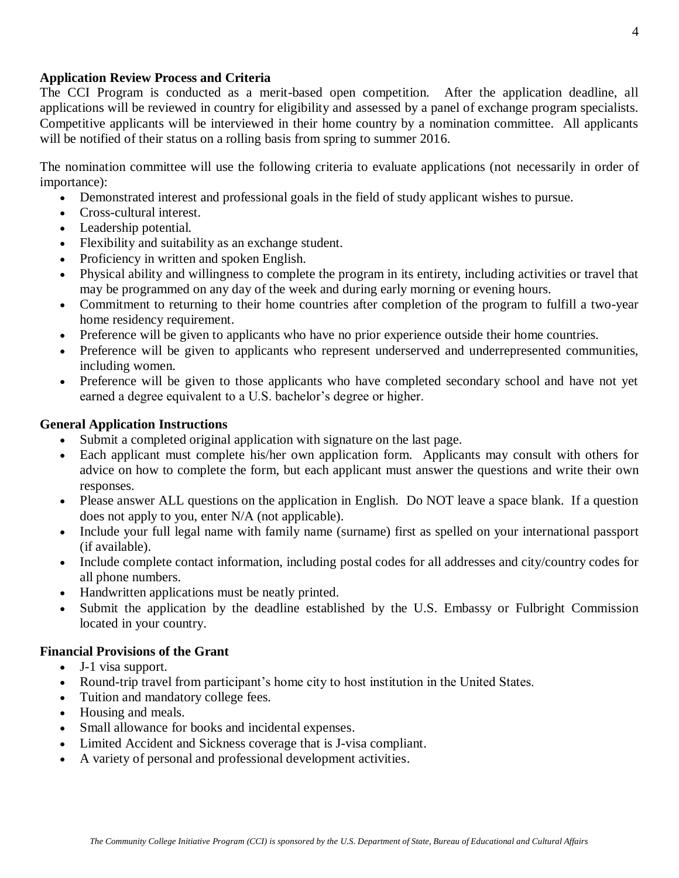# **Application Review Process and Criteria**

The CCI Program is conducted as a merit-based open competition. After the application deadline, all applications will be reviewed in country for eligibility and assessed by a panel of exchange program specialists. Competitive applicants will be interviewed in their home country by a nomination committee. All applicants will be notified of their status on a rolling basis from spring to summer 2016.

The nomination committee will use the following criteria to evaluate applications (not necessarily in order of importance):

- Demonstrated interest and professional goals in the field of study applicant wishes to pursue.
- Cross-cultural interest.
- Leadership potential.
- Flexibility and suitability as an exchange student.
- Proficiency in written and spoken English.
- Physical ability and willingness to complete the program in its entirety, including activities or travel that may be programmed on any day of the week and during early morning or evening hours.
- Commitment to returning to their home countries after completion of the program to fulfill a two-year home residency requirement.
- Preference will be given to applicants who have no prior experience outside their home countries.
- Preference will be given to applicants who represent underserved and underrepresented communities, including women.
- Preference will be given to those applicants who have completed secondary school and have not yet earned a degree equivalent to a U.S. bachelor's degree or higher.

# **General Application Instructions**

- Submit a completed original application with signature on the last page.
- Each applicant must complete his/her own application form. Applicants may consult with others for advice on how to complete the form, but each applicant must answer the questions and write their own responses.
- Please answer ALL questions on the application in English. Do NOT leave a space blank. If a question does not apply to you, enter N/A (not applicable).
- Include your full legal name with family name (surname) first as spelled on your international passport (if available).
- Include complete contact information, including postal codes for all addresses and city/country codes for all phone numbers.
- Handwritten applications must be neatly printed.
- Submit the application by the deadline established by the U.S. Embassy or Fulbright Commission located in your country.

# **Financial Provisions of the Grant**

- J-1 visa support.
- Round-trip travel from participant's home city to host institution in the United States.
- Tuition and mandatory college fees.
- Housing and meals.
- Small allowance for books and incidental expenses.
- Limited Accident and Sickness coverage that is J-visa compliant.
- A variety of personal and professional development activities.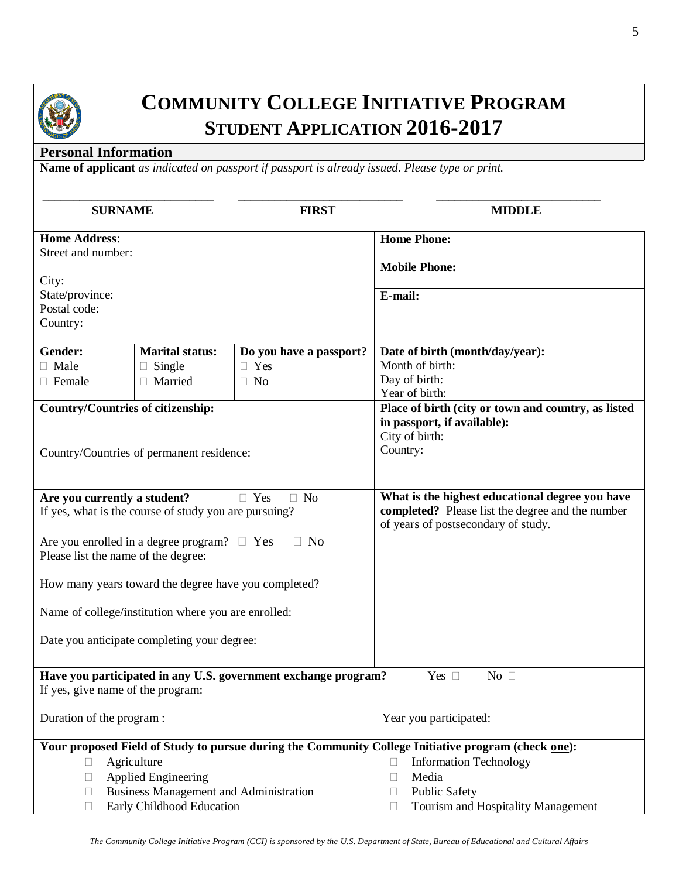

# **COMMUNITY COLLEGE INITIATIVE PROGRAM STUDENT APPLICATION 2016-2017**

# **Personal Information**

**Name of applicant** *as indicated on passport if passport is already issued. Please type or print.*

| <b>SURNAME</b>                                                                                  |                                                      | <b>FIRST</b>                                                                                        | <b>MIDDLE</b>                                        |  |  |
|-------------------------------------------------------------------------------------------------|------------------------------------------------------|-----------------------------------------------------------------------------------------------------|------------------------------------------------------|--|--|
| <b>Home Address:</b>                                                                            |                                                      |                                                                                                     | <b>Home Phone:</b>                                   |  |  |
| Street and number:                                                                              |                                                      |                                                                                                     |                                                      |  |  |
| City:                                                                                           |                                                      |                                                                                                     | <b>Mobile Phone:</b>                                 |  |  |
| State/province:                                                                                 |                                                      |                                                                                                     | E-mail:                                              |  |  |
| Postal code:                                                                                    |                                                      |                                                                                                     |                                                      |  |  |
| Country:                                                                                        |                                                      |                                                                                                     |                                                      |  |  |
| Gender:                                                                                         | <b>Marital status:</b>                               | Do you have a passport?                                                                             | Date of birth (month/day/year):                      |  |  |
| $\Box$ Male                                                                                     | Single                                               | $\Box$ Yes                                                                                          | Month of birth:                                      |  |  |
| $\Box$ Female                                                                                   | Married                                              | $\Box$ No                                                                                           | Day of birth:                                        |  |  |
|                                                                                                 |                                                      |                                                                                                     | Year of birth:                                       |  |  |
| <b>Country/Countries of citizenship:</b>                                                        |                                                      |                                                                                                     | Place of birth (city or town and country, as listed  |  |  |
|                                                                                                 |                                                      |                                                                                                     | in passport, if available):                          |  |  |
|                                                                                                 |                                                      |                                                                                                     | City of birth:                                       |  |  |
|                                                                                                 | Country/Countries of permanent residence:            |                                                                                                     | Country:                                             |  |  |
|                                                                                                 |                                                      |                                                                                                     |                                                      |  |  |
| Are you currently a student?                                                                    |                                                      | $\Box$ Yes<br>$\Box$ No                                                                             | What is the highest educational degree you have      |  |  |
| If yes, what is the course of study you are pursuing?                                           |                                                      |                                                                                                     | completed? Please list the degree and the number     |  |  |
|                                                                                                 |                                                      |                                                                                                     | of years of postsecondary of study.                  |  |  |
| N <sub>o</sub><br>Are you enrolled in a degree program? $\Box$ Yes                              |                                                      |                                                                                                     |                                                      |  |  |
| Please list the name of the degree:                                                             |                                                      |                                                                                                     |                                                      |  |  |
|                                                                                                 | How many years toward the degree have you completed? |                                                                                                     |                                                      |  |  |
|                                                                                                 |                                                      |                                                                                                     |                                                      |  |  |
|                                                                                                 | Name of college/institution where you are enrolled:  |                                                                                                     |                                                      |  |  |
|                                                                                                 |                                                      |                                                                                                     |                                                      |  |  |
| Date you anticipate completing your degree:                                                     |                                                      |                                                                                                     |                                                      |  |  |
| Have you participated in any U.S. government exchange program?<br>Yes $\square$<br>No $\square$ |                                                      |                                                                                                     |                                                      |  |  |
| If yes, give name of the program:                                                               |                                                      |                                                                                                     |                                                      |  |  |
|                                                                                                 |                                                      |                                                                                                     |                                                      |  |  |
| Duration of the program:                                                                        |                                                      |                                                                                                     | Year you participated:                               |  |  |
|                                                                                                 |                                                      | Your proposed Field of Study to pursue during the Community College Initiative program (check one): |                                                      |  |  |
| Agriculture<br>$\Box$                                                                           |                                                      |                                                                                                     | <b>Information Technology</b><br>$\Box$              |  |  |
| <b>Applied Engineering</b><br>u                                                                 |                                                      |                                                                                                     | Media<br>$\Box$                                      |  |  |
| <b>Business Management and Administration</b><br>□                                              |                                                      |                                                                                                     | Public Safety<br>$\Box$                              |  |  |
| Early Childhood Education<br>П                                                                  |                                                      |                                                                                                     | Tourism and Hospitality Management<br>$\mathbb{R}^n$ |  |  |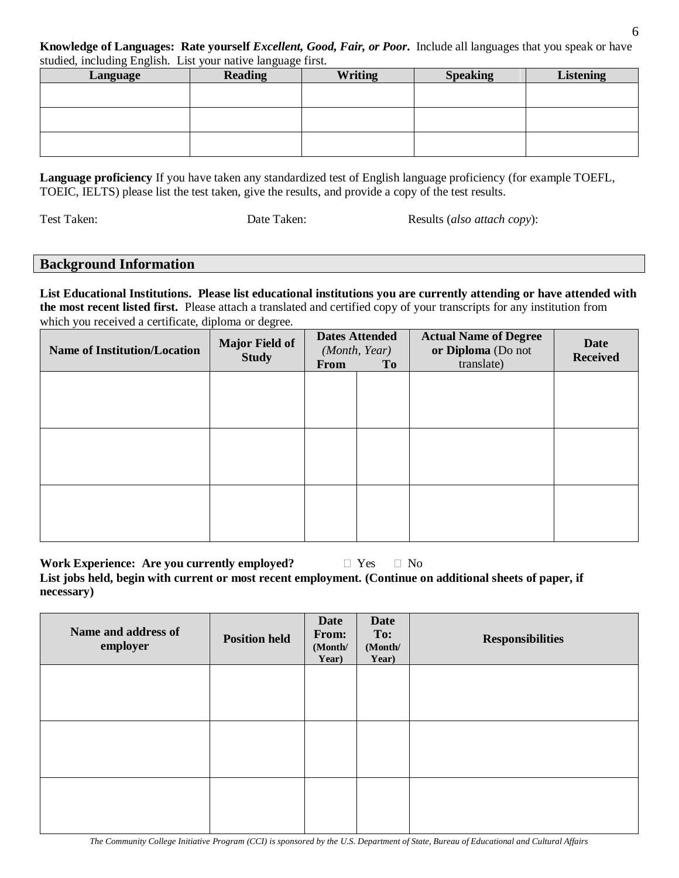**Knowledge of Languages: Rate yourself** *Excellent, Good, Fair, or Poor***.** Include all languages that you speak or have studied, including English. List your native language first.

| Language | $\sigma$ $\sigma$<br><b>Reading</b> | <b>Writing</b> | <b>Speaking</b> | <b>Listening</b> |
|----------|-------------------------------------|----------------|-----------------|------------------|
|          |                                     |                |                 |                  |
|          |                                     |                |                 |                  |
|          |                                     |                |                 |                  |
|          |                                     |                |                 |                  |
|          |                                     |                |                 |                  |

**Language proficiency** If you have taken any standardized test of English language proficiency (for example TOEFL, TOEIC, IELTS) please list the test taken, give the results, and provide a copy of the test results.

Test Taken: Date Taken: Date Taken: Results (*also attach copy*):

# **Background Information**

**List Educational Institutions. Please list educational institutions you are currently attending or have attended with the most recent listed first.** Please attach a translated and certified copy of your transcripts for any institution from which you received a certificate, diploma or degree.

| <b>Name of Institution/Location</b> | <b>Major Field of</b><br><b>Study</b> | <b>Dates Attended</b><br>(Month, Year) |  | <b>From</b><br><b>To</b> |  | <b>Actual Name of Degree</b><br>or Diploma (Do not<br>translate) | <b>Date</b><br><b>Received</b> |
|-------------------------------------|---------------------------------------|----------------------------------------|--|--------------------------|--|------------------------------------------------------------------|--------------------------------|
|                                     |                                       |                                        |  |                          |  |                                                                  |                                |
|                                     |                                       |                                        |  |                          |  |                                                                  |                                |
|                                     |                                       |                                        |  |                          |  |                                                                  |                                |
|                                     |                                       |                                        |  |                          |  |                                                                  |                                |
|                                     |                                       |                                        |  |                          |  |                                                                  |                                |
|                                     |                                       |                                        |  |                          |  |                                                                  |                                |

**Work Experience: Are you currently employed?**  $\Box$  Yes  $\Box$  No **List jobs held, begin with current or most recent employment. (Continue on additional sheets of paper, if necessary)** 

| Name and address of<br>employer | <b>Position held</b> | <b>Date</b><br>From:<br>(Month/<br>Year) | <b>Date</b><br>To:<br>(Month/<br>Year) | <b>Responsibilities</b> |
|---------------------------------|----------------------|------------------------------------------|----------------------------------------|-------------------------|
|                                 |                      |                                          |                                        |                         |
|                                 |                      |                                          |                                        |                         |
|                                 |                      |                                          |                                        |                         |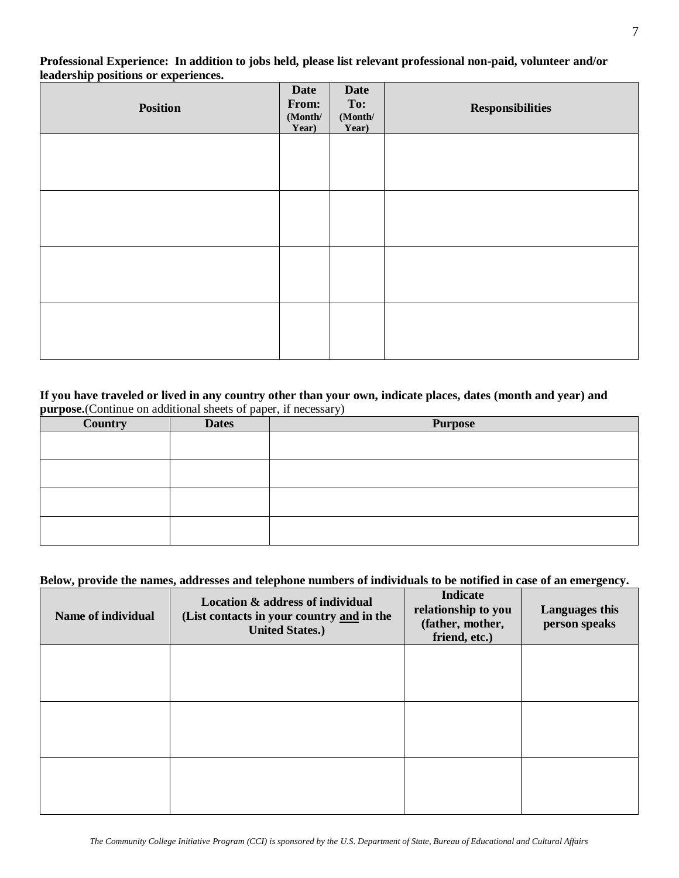**Professional Experience: In addition to jobs held, please list relevant professional non-paid, volunteer and/or leadership positions or experiences.**

| Position | <b>Date</b><br>From:<br>(Month/<br>Year) | <b>Date</b><br>To:<br>$(\bf{Month}/$<br>Year) | <b>Responsibilities</b> |
|----------|------------------------------------------|-----------------------------------------------|-------------------------|
|          |                                          |                                               |                         |
|          |                                          |                                               |                         |
|          |                                          |                                               |                         |
|          |                                          |                                               |                         |

#### **If you have traveled or lived in any country other than your own, indicate places, dates (month and year) and purpose.**(Continue on additional sheets of paper, if necessary)

| Country | <b>Dates</b> | <b>Purpose</b> |
|---------|--------------|----------------|
|         |              |                |
|         |              |                |
|         |              |                |
|         |              |                |
|         |              |                |
|         |              |                |
|         |              |                |
|         |              |                |

#### **Below, provide the names, addresses and telephone numbers of individuals to be notified in case of an emergency.**

| Name of individual | Location & address of individual<br>(List contacts in your country and in the<br><b>United States.)</b> | <b>Indicate</b><br>relationship to you<br>(father, mother,<br>friend, etc.) | Languages this<br>person speaks |
|--------------------|---------------------------------------------------------------------------------------------------------|-----------------------------------------------------------------------------|---------------------------------|
|                    |                                                                                                         |                                                                             |                                 |
|                    |                                                                                                         |                                                                             |                                 |
|                    |                                                                                                         |                                                                             |                                 |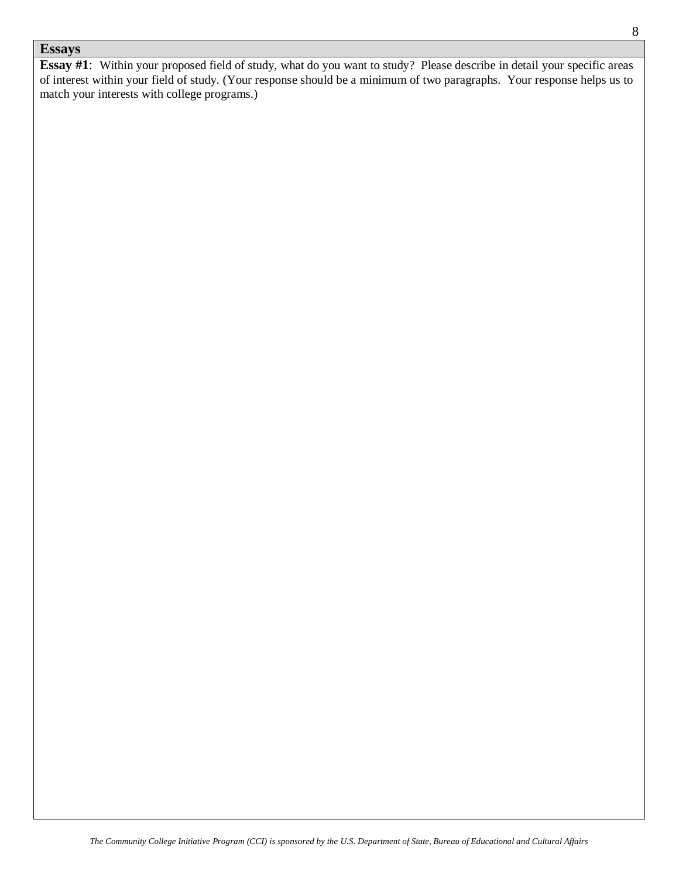# **Essays**

**Essay #1**: Within your proposed field of study, what do you want to study? Please describe in detail your specific areas of interest within your field of study. (Your response should be a minimum of two paragraphs. Your response helps us to match your interests with college programs.)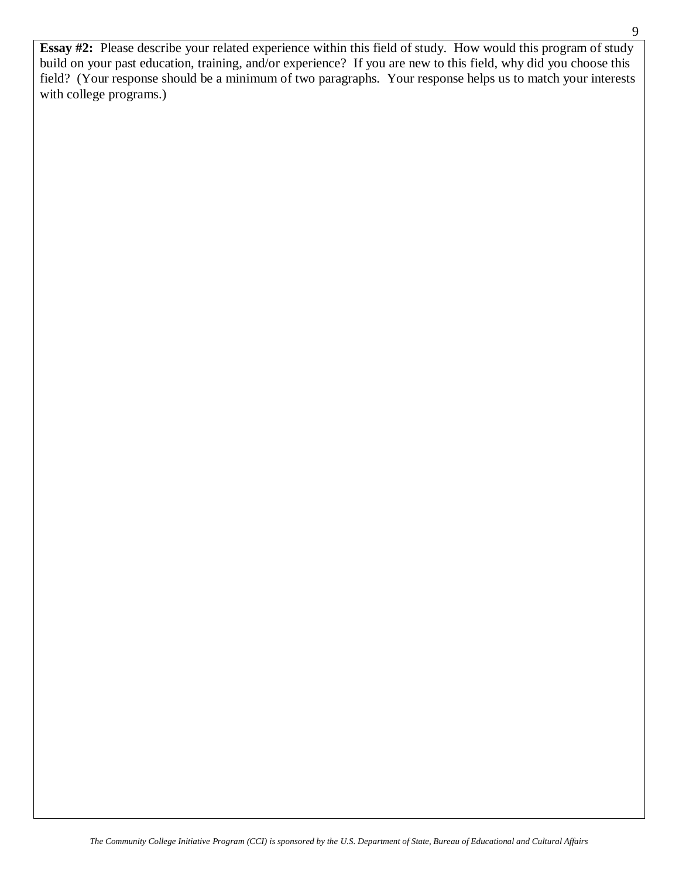**Essay #2:** Please describe your related experience within this field of study. How would this program of study build on your past education, training, and/or experience? If you are new to this field, why did you choose this field? (Your response should be a minimum of two paragraphs. Your response helps us to match your interests with college programs.)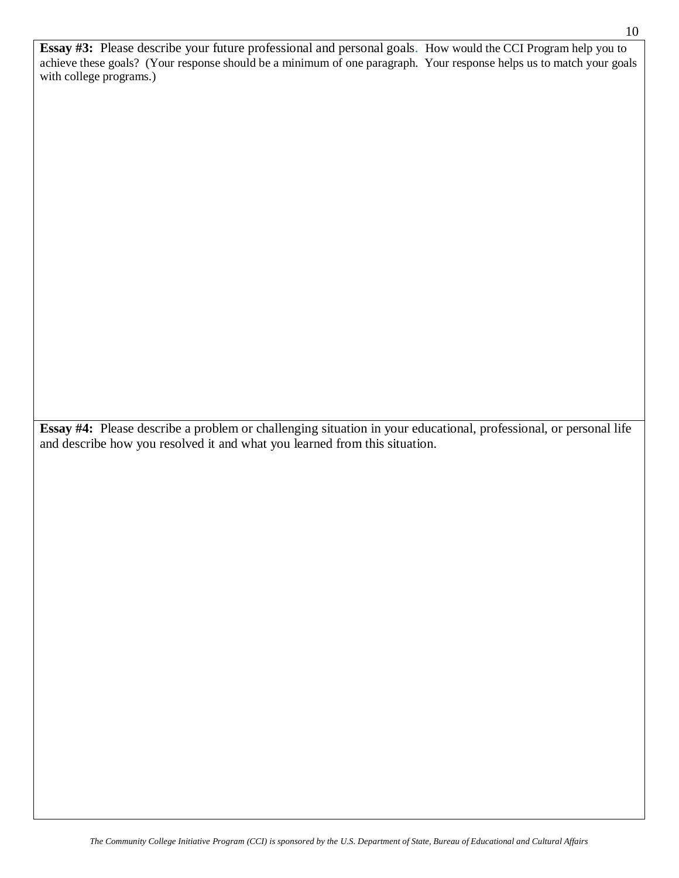**Essay #3:** Please describe your future professional and personal goals. How would the CCI Program help you to achieve these goals? (Your response should be a minimum of one paragraph. Your response helps us to match your goals with college programs.)

**Essay #4:** Please describe a problem or challenging situation in your educational, professional, or personal life and describe how you resolved it and what you learned from this situation.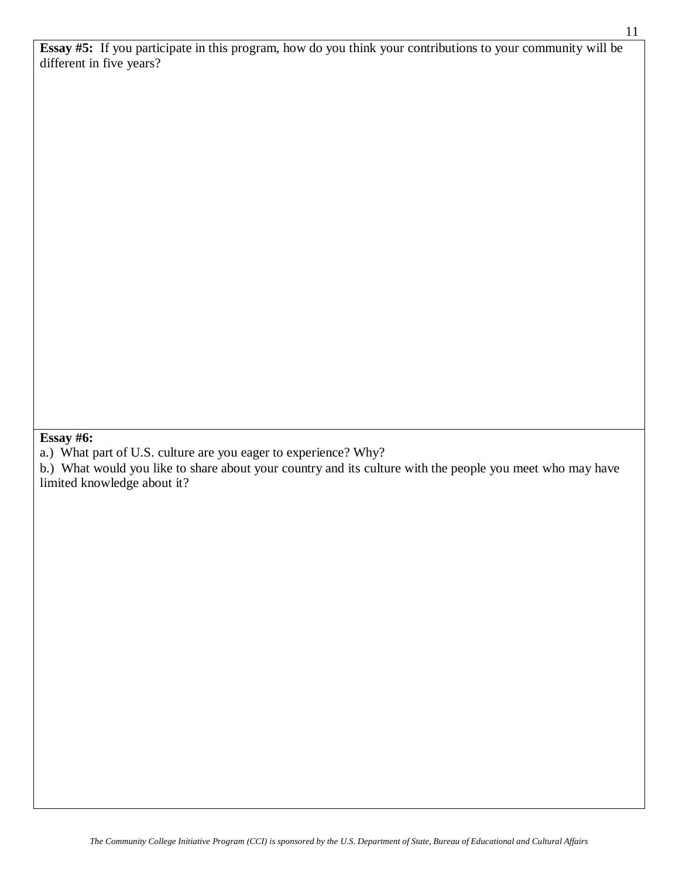**Essay #5:** If you participate in this program, how do you think your contributions to your community will be different in five years?

**Essay #6:** 

a.) What part of U.S. culture are you eager to experience? Why?

b.) What would you like to share about your country and its culture with the people you meet who may have limited knowledge about it?